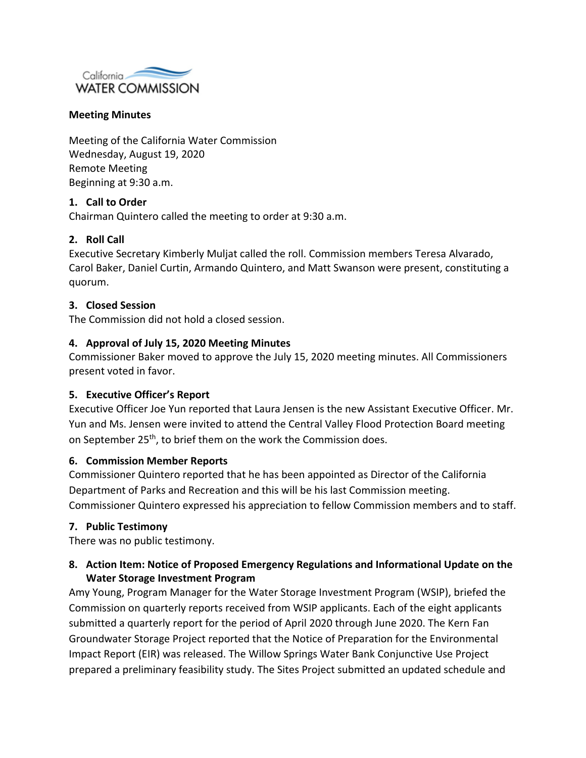

## **Meeting Minutes**

Meeting of the California Water Commission Wednesday, August 19, 2020 Remote Meeting Beginning at 9:30 a.m.

### **1. Call to Order**

Chairman Quintero called the meeting to order at 9:30 a.m.

## **2. Roll Call**

Executive Secretary Kimberly Muljat called the roll. Commission members Teresa Alvarado, Carol Baker, Daniel Curtin, Armando Quintero, and Matt Swanson were present, constituting a quorum.

#### **3. Closed Session**

The Commission did not hold a closed session.

### **4. Approval of July 15, 2020 Meeting Minutes**

Commissioner Baker moved to approve the July 15, 2020 meeting minutes. All Commissioners present voted in favor.

#### **5. Executive Officer's Report**

Executive Officer Joe Yun reported that Laura Jensen is the new Assistant Executive Officer. Mr. Yun and Ms. Jensen were invited to attend the Central Valley Flood Protection Board meeting on September 25<sup>th</sup>, to brief them on the work the Commission does.

#### **6. Commission Member Reports**

Commissioner Quintero reported that he has been appointed as Director of the California Department of Parks and Recreation and this will be his last Commission meeting. Commissioner Quintero expressed his appreciation to fellow Commission members and to staff.

## **7. Public Testimony**

There was no public testimony.

# **8. Action Item: Notice of Proposed Emergency Regulations and Informational Update on the Water Storage Investment Program**

Amy Young, Program Manager for the Water Storage Investment Program (WSIP), briefed the Commission on quarterly reports received from WSIP applicants. Each of the eight applicants submitted a quarterly report for the period of April 2020 through June 2020. The Kern Fan Groundwater Storage Project reported that the Notice of Preparation for the Environmental Impact Report (EIR) was released. The Willow Springs Water Bank Conjunctive Use Project prepared a preliminary feasibility study. The Sites Project submitted an updated schedule and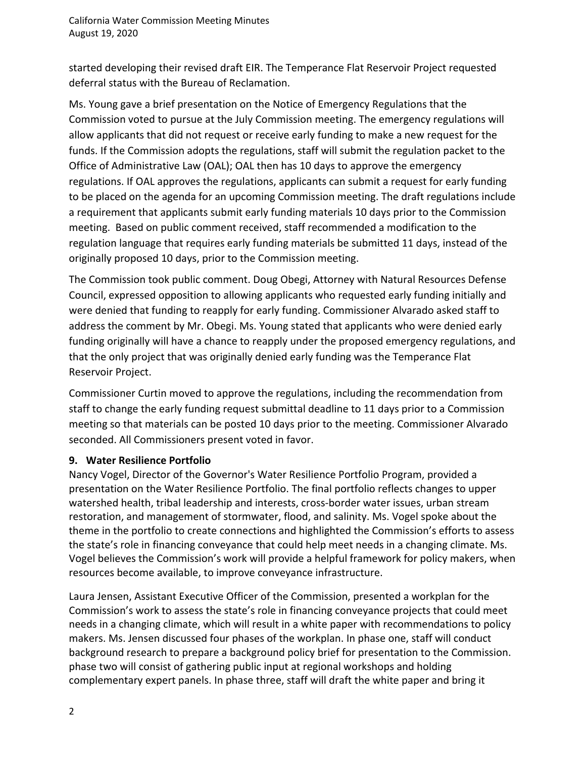started developing their revised draft EIR. The Temperance Flat Reservoir Project requested deferral status with the Bureau of Reclamation.

Ms. Young gave a brief presentation on the Notice of Emergency Regulations that the Commission voted to pursue at the July Commission meeting. The emergency regulations will allow applicants that did not request or receive early funding to make a new request for the funds. If the Commission adopts the regulations, staff will submit the regulation packet to the Office of Administrative Law (OAL); OAL then has 10 days to approve the emergency regulations. If OAL approves the regulations, applicants can submit a request for early funding to be placed on the agenda for an upcoming Commission meeting. The draft regulations include a requirement that applicants submit early funding materials 10 days prior to the Commission meeting. Based on public comment received, staff recommended a modification to the regulation language that requires early funding materials be submitted 11 days, instead of the originally proposed 10 days, prior to the Commission meeting.

The Commission took public comment. Doug Obegi, Attorney with Natural Resources Defense Council, expressed opposition to allowing applicants who requested early funding initially and were denied that funding to reapply for early funding. Commissioner Alvarado asked staff to address the comment by Mr. Obegi. Ms. Young stated that applicants who were denied early funding originally will have a chance to reapply under the proposed emergency regulations, and that the only project that was originally denied early funding was the Temperance Flat Reservoir Project.

Commissioner Curtin moved to approve the regulations, including the recommendation from staff to change the early funding request submittal deadline to 11 days prior to a Commission meeting so that materials can be posted 10 days prior to the meeting. Commissioner Alvarado seconded. All Commissioners present voted in favor.

# **9. Water Resilience Portfolio**

Nancy Vogel, Director of the Governor's Water Resilience Portfolio Program, provided a presentation on the Water Resilience Portfolio. The final portfolio reflects changes to upper watershed health, tribal leadership and interests, cross-border water issues, urban stream restoration, and management of stormwater, flood, and salinity. Ms. Vogel spoke about the theme in the portfolio to create connections and highlighted the Commission's efforts to assess the state's role in financing conveyance that could help meet needs in a changing climate. Ms. Vogel believes the Commission's work will provide a helpful framework for policy makers, when resources become available, to improve conveyance infrastructure.

Laura Jensen, Assistant Executive Officer of the Commission, presented a workplan for the Commission's work to assess the state's role in financing conveyance projects that could meet needs in a changing climate, which will result in a white paper with recommendations to policy makers. Ms. Jensen discussed four phases of the workplan. In phase one, staff will conduct background research to prepare a background policy brief for presentation to the Commission. phase two will consist of gathering public input at regional workshops and holding complementary expert panels. In phase three, staff will draft the white paper and bring it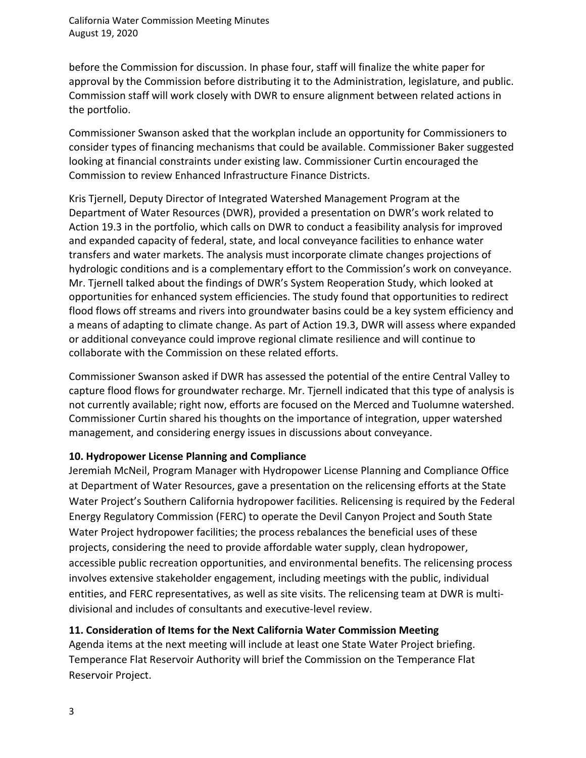before the Commission for discussion. In phase four, staff will finalize the white paper for approval by the Commission before distributing it to the Administration, legislature, and public. Commission staff will work closely with DWR to ensure alignment between related actions in the portfolio.

Commissioner Swanson asked that the workplan include an opportunity for Commissioners to consider types of financing mechanisms that could be available. Commissioner Baker suggested looking at financial constraints under existing law. Commissioner Curtin encouraged the Commission to review Enhanced Infrastructure Finance Districts.

Kris Tjernell, Deputy Director of Integrated Watershed Management Program at the Department of Water Resources (DWR), provided a presentation on DWR's work related to Action 19.3 in the portfolio, which calls on DWR to conduct a feasibility analysis for improved and expanded capacity of federal, state, and local conveyance facilities to enhance water transfers and water markets. The analysis must incorporate climate changes projections of hydrologic conditions and is a complementary effort to the Commission's work on conveyance. Mr. Tjernell talked about the findings of DWR's System Reoperation Study, which looked at opportunities for enhanced system efficiencies. The study found that opportunities to redirect flood flows off streams and rivers into groundwater basins could be a key system efficiency and a means of adapting to climate change. As part of Action 19.3, DWR will assess where expanded or additional conveyance could improve regional climate resilience and will continue to collaborate with the Commission on these related efforts.

Commissioner Swanson asked if DWR has assessed the potential of the entire Central Valley to capture flood flows for groundwater recharge. Mr. Tjernell indicated that this type of analysis is not currently available; right now, efforts are focused on the Merced and Tuolumne watershed. Commissioner Curtin shared his thoughts on the importance of integration, upper watershed management, and considering energy issues in discussions about conveyance.

# **10. Hydropower License Planning and Compliance**

Jeremiah McNeil, Program Manager with Hydropower License Planning and Compliance Office at Department of Water Resources, gave a presentation on the relicensing efforts at the State Water Project's Southern California hydropower facilities. Relicensing is required by the Federal Energy Regulatory Commission (FERC) to operate the Devil Canyon Project and South State Water Project hydropower facilities; the process rebalances the beneficial uses of these projects, considering the need to provide affordable water supply, clean hydropower, accessible public recreation opportunities, and environmental benefits. The relicensing process involves extensive stakeholder engagement, including meetings with the public, individual entities, and FERC representatives, as well as site visits. The relicensing team at DWR is multidivisional and includes of consultants and executive-level review.

# **11. Consideration of Items for the Next California Water Commission Meeting**

Agenda items at the next meeting will include at least one State Water Project briefing. Temperance Flat Reservoir Authority will brief the Commission on the Temperance Flat Reservoir Project.